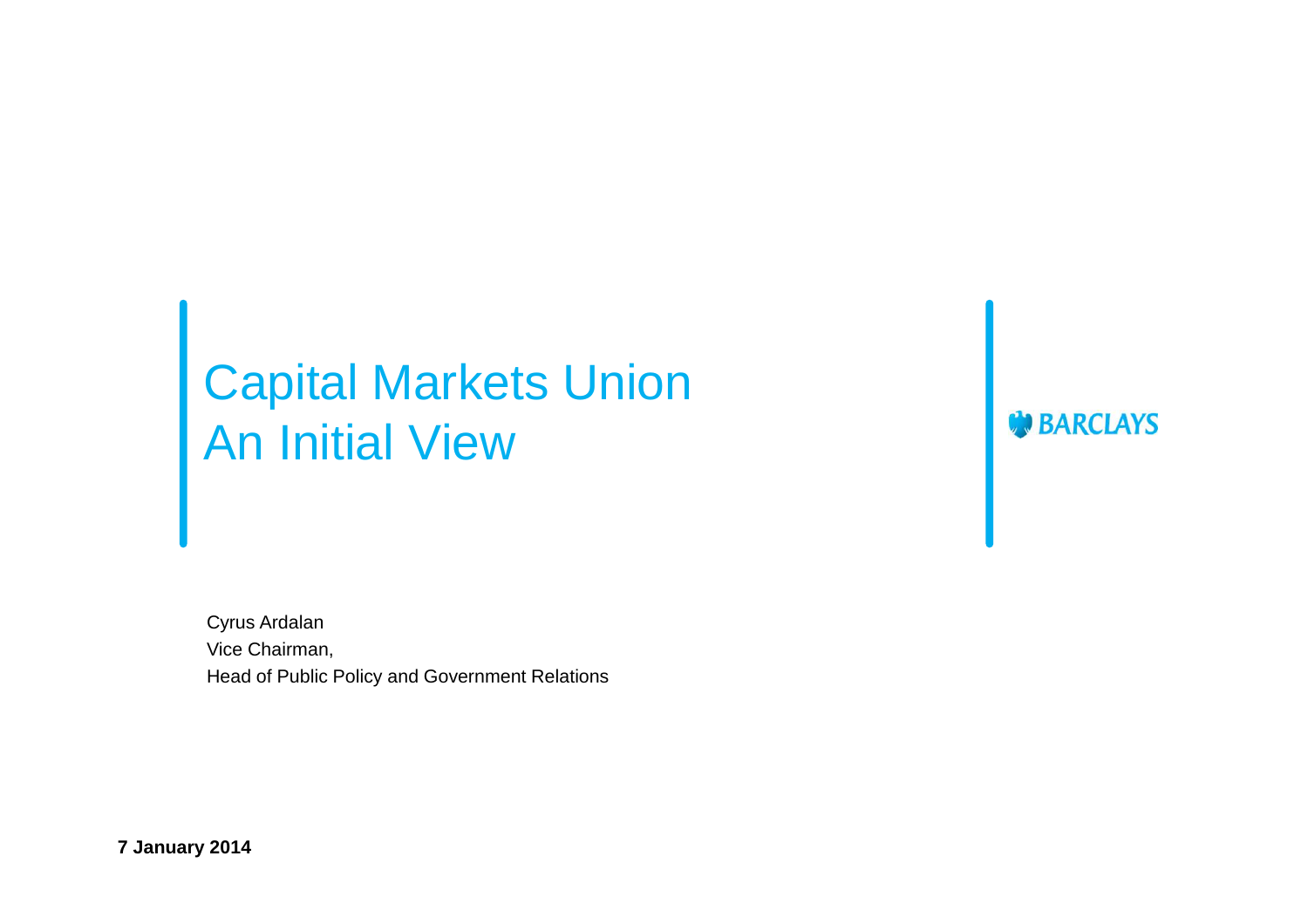# Capital Markets Union An Initial View

Cyrus Ardalan Vice Chairman, Head of Public Policy and Government Relations **BARCLAYS** 

**7 January 2014**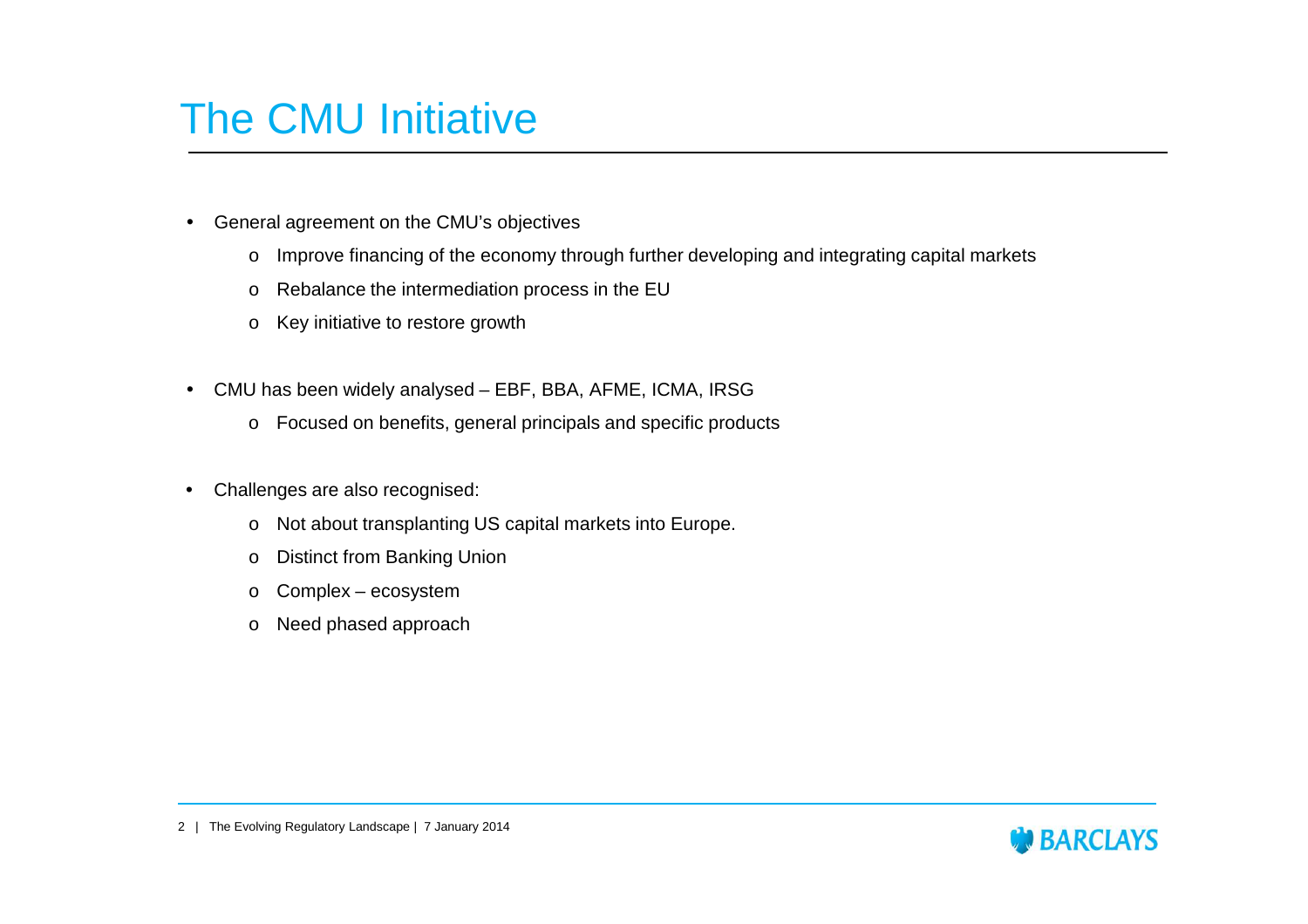#### The CMU Initiative

- General agreement on the CMU's objectives
	- oImprove financing of the economy through further developing and integrating capital markets
	- oRebalance the intermediation process in the EU
	- $\circ$  Key initiative to restore growth
- CMU has been widely analysed EBF, BBA, AFME, ICMA, IRSG
	- o Focused on benefits, general principals and specific products
- • Challenges are also recognised:
	- oNot about transplanting US capital markets into Europe.
	- oDistinct from Banking Union
	- oComplex – ecosystem
	- o Need phased approach

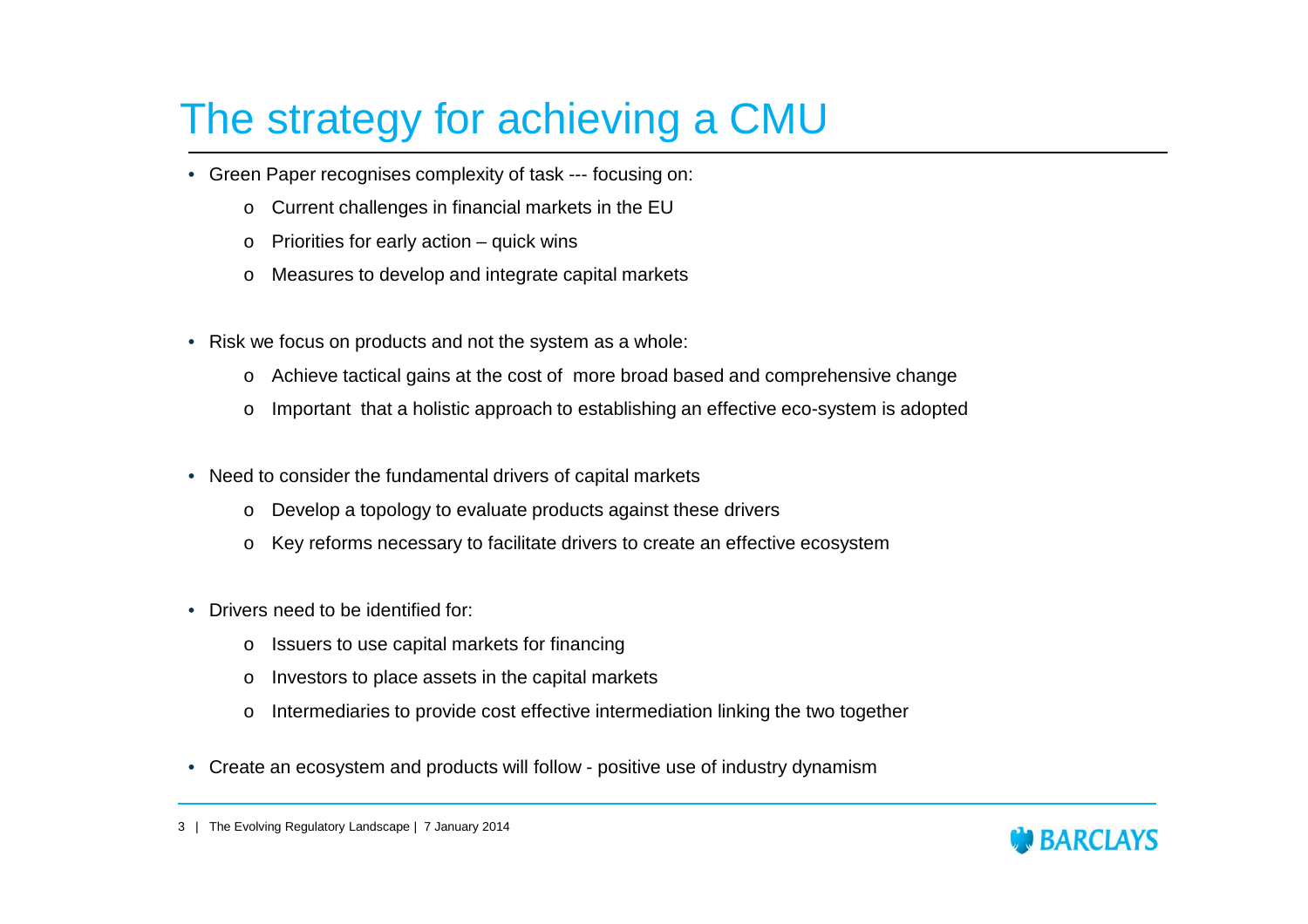## The strategy for achieving a CMU

- Green Paper recognises complexity of task --- focusing on:
	- oCurrent challenges in financial markets in the EU
	- oPriorities for early action – quick wins
	- oMeasures to develop and integrate capital markets
- Risk we focus on products and not the system as a whole:
	- oAchieve tactical gains at the cost of more broad based and comprehensive change
	- oImportant that a holistic approach to establishing an effective eco-system is adopted
- Need to consider the fundamental drivers of capital markets
	- oDevelop a topology to evaluate products against these drivers
	- oKey reforms necessary to facilitate drivers to create an effective ecosystem
- Drivers need to be identified for:
	- oIssuers to use capital markets for financing
	- oInvestors to place assets in the capital markets
	- oIntermediaries to provide cost effective intermediation linking the two together
- Create an ecosystem and products will follow positive use of industry dynamism



<sup>3</sup> | The Evolving Regulatory Landscape | 7 January 2014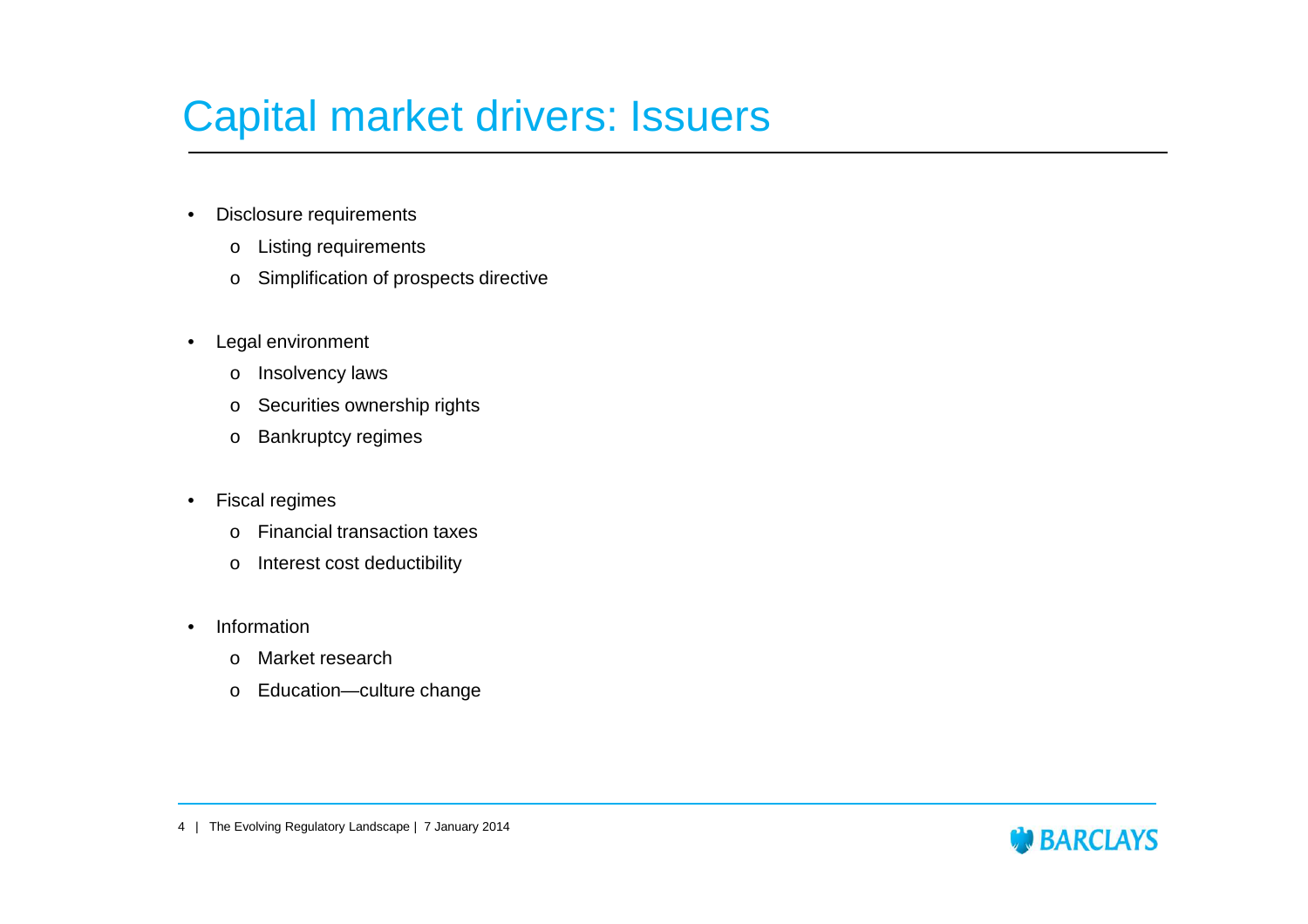### Capital market drivers: Issuers

- • Disclosure requirements
	- o Listing requirements
	- o Simplification of prospects directive
- Legal environment
	- oInsolvency laws
	- o Securities ownership rights
	- o Bankruptcy regimes
- • Fiscal regimes
	- o Financial transaction taxes
	- oInterest cost deductibility
- • Information
	- oMarket research
	- o Education—culture change



<sup>4</sup> | The Evolving Regulatory Landscape | 7 January 2014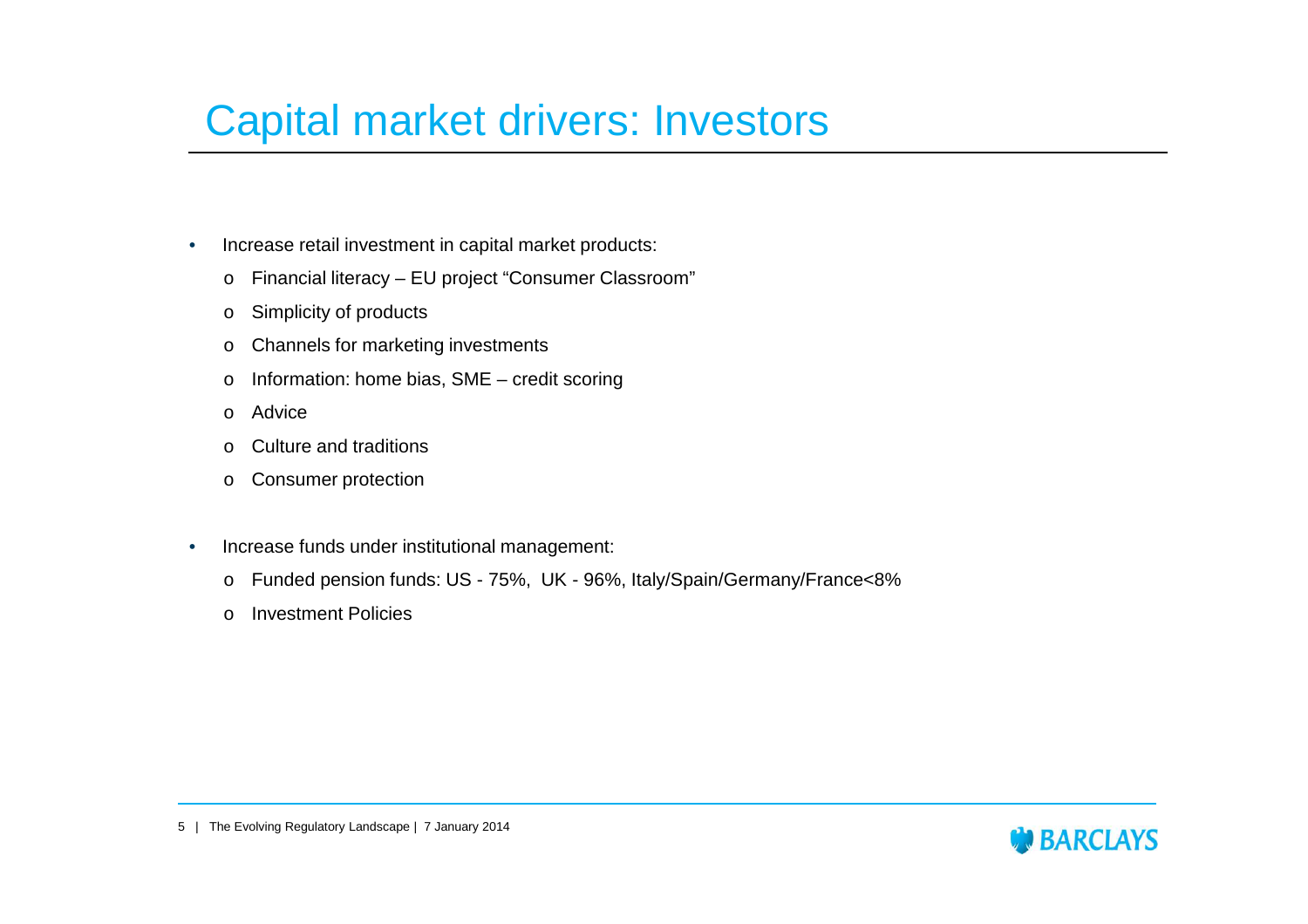### Capital market drivers: Investors

- • Increase retail investment in capital market products:
	- o Financial literacy EU project "Consumer Classroom"
	- oSimplicity of products
	- oChannels for marketing investments
	- o Information: home bias, SME credit scoring
	- oAdvice
	- oCulture and traditions
	- o Consumer protection
- • Increase funds under institutional management:
	- o Funded pension funds: US 75%, UK 96%, Italy/Spain/Germany/France<8%
	- oInvestment Policies

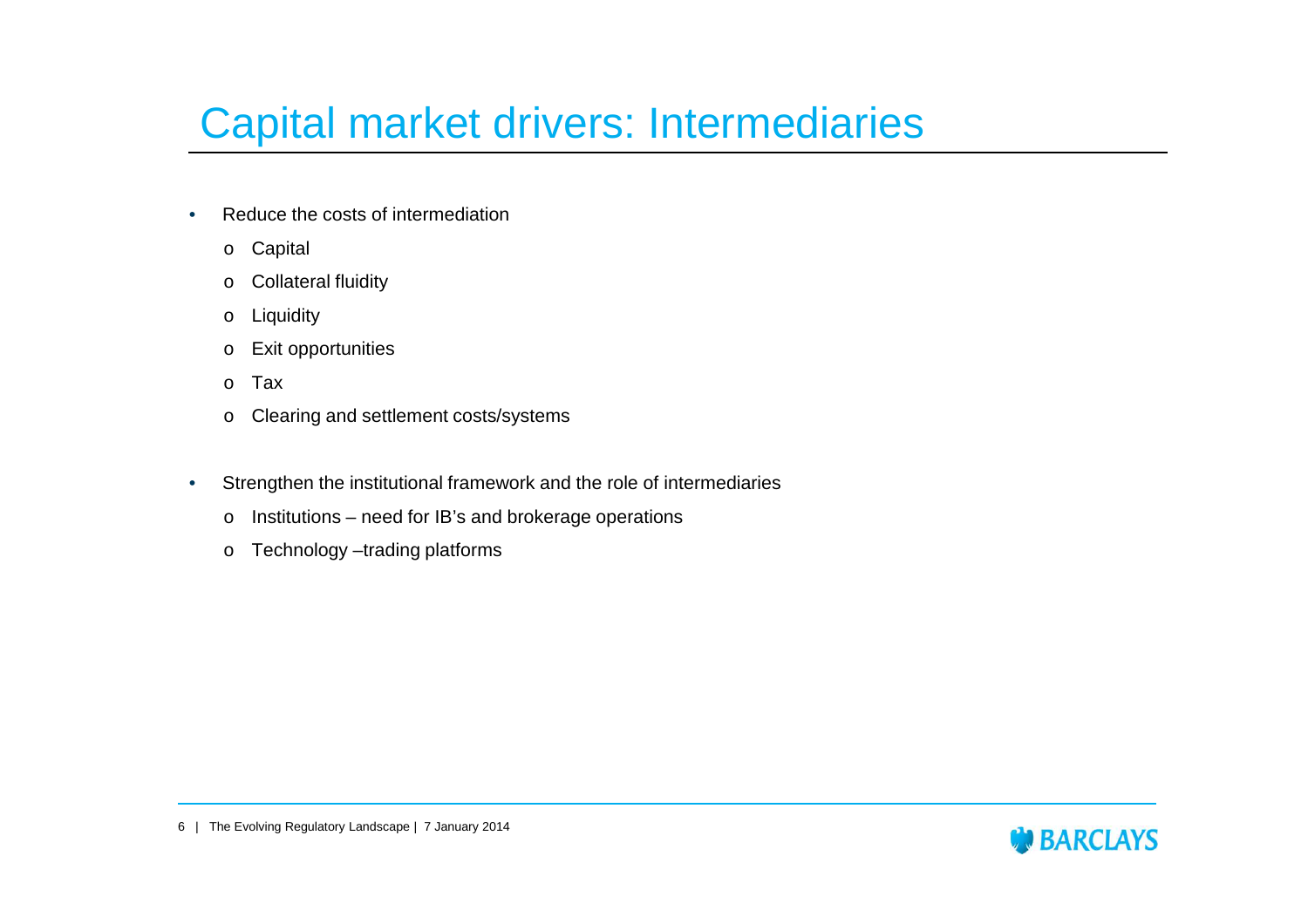### Capital market drivers: Intermediaries

- • Reduce the costs of intermediation
	- o Capital
	- o Collateral fluidity
	- o**Liquidity**
	- o Exit opportunities
	- oTax
	- o Clearing and settlement costs/systems
- • Strengthen the institutional framework and the role of intermediaries
	- $\circ$  Institutions need for IB's and brokerage operations
	- o Technology –trading platforms